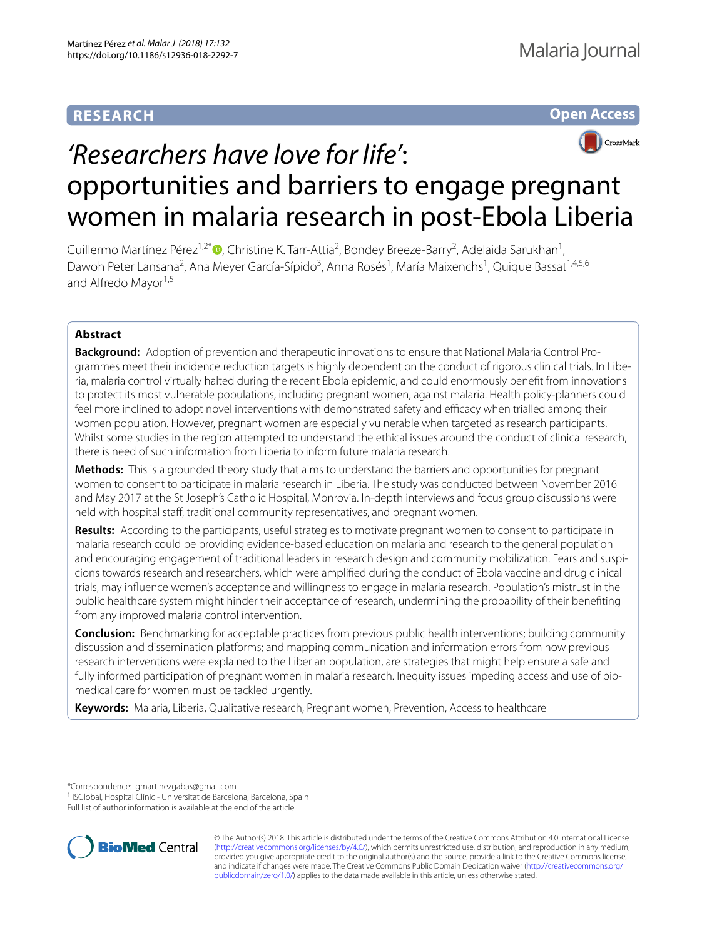# **RESEARCH**





# *'Researchers have love for life'*: opportunities and barriers to engage pregnant women in malaria research in post-Ebola Liberia

Guillermo Martínez Pérez<sup>1,2[\\*](http://orcid.org/0000-0001-6756-9515)</sup>®, Christine K. Tarr-Attia<sup>2</sup>, Bondey Breeze-Barry<sup>2</sup>, Adelaida Sarukhan<sup>1</sup>, Dawoh Peter Lansana<sup>2</sup>, Ana Meyer García-Sípido<sup>3</sup>, Anna Rosés<sup>1</sup>, María Maixenchs<sup>1</sup>, Quique Bassat<sup>1,4,5,6</sup> and Alfredo Mavor<sup>1,5</sup>

# **Abstract**

**Background:** Adoption of prevention and therapeutic innovations to ensure that National Malaria Control Programmes meet their incidence reduction targets is highly dependent on the conduct of rigorous clinical trials. In Liberia, malaria control virtually halted during the recent Ebola epidemic, and could enormously beneft from innovations to protect its most vulnerable populations, including pregnant women, against malaria. Health policy-planners could feel more inclined to adopt novel interventions with demonstrated safety and efficacy when trialled among their women population. However, pregnant women are especially vulnerable when targeted as research participants. Whilst some studies in the region attempted to understand the ethical issues around the conduct of clinical research, there is need of such information from Liberia to inform future malaria research.

**Methods:** This is a grounded theory study that aims to understand the barriers and opportunities for pregnant women to consent to participate in malaria research in Liberia. The study was conducted between November 2016 and May 2017 at the St Joseph's Catholic Hospital, Monrovia. In-depth interviews and focus group discussions were held with hospital staff, traditional community representatives, and pregnant women.

**Results:** According to the participants, useful strategies to motivate pregnant women to consent to participate in malaria research could be providing evidence-based education on malaria and research to the general population and encouraging engagement of traditional leaders in research design and community mobilization. Fears and suspicions towards research and researchers, which were amplifed during the conduct of Ebola vaccine and drug clinical trials, may infuence women's acceptance and willingness to engage in malaria research. Population's mistrust in the public healthcare system might hinder their acceptance of research, undermining the probability of their benefting from any improved malaria control intervention.

**Conclusion:** Benchmarking for acceptable practices from previous public health interventions; building community discussion and dissemination platforms; and mapping communication and information errors from how previous research interventions were explained to the Liberian population, are strategies that might help ensure a safe and fully informed participation of pregnant women in malaria research. Inequity issues impeding access and use of biomedical care for women must be tackled urgently.

**Keywords:** Malaria, Liberia, Qualitative research, Pregnant women, Prevention, Access to healthcare

\*Correspondence: gmartinezgabas@gmail.com

<sup>1</sup> ISGlobal, Hospital Clínic - Universitat de Barcelona, Barcelona, Spain

Full list of author information is available at the end of the article



© The Author(s) 2018. This article is distributed under the terms of the Creative Commons Attribution 4.0 International License [\(http://creativecommons.org/licenses/by/4.0/\)](http://creativecommons.org/licenses/by/4.0/), which permits unrestricted use, distribution, and reproduction in any medium, provided you give appropriate credit to the original author(s) and the source, provide a link to the Creative Commons license, and indicate if changes were made. The Creative Commons Public Domain Dedication waiver ([http://creativecommons.org/](http://creativecommons.org/publicdomain/zero/1.0/) [publicdomain/zero/1.0/](http://creativecommons.org/publicdomain/zero/1.0/)) applies to the data made available in this article, unless otherwise stated.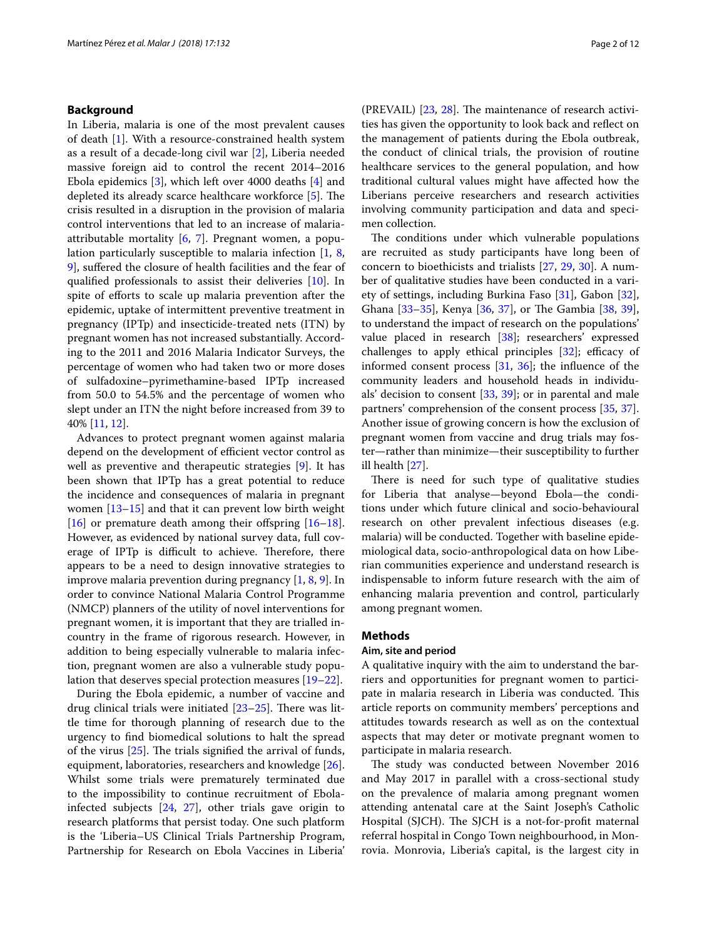# **Background**

In Liberia, malaria is one of the most prevalent causes of death [[1](#page-10-0)]. With a resource-constrained health system as a result of a decade-long civil war [\[2](#page-10-1)], Liberia needed massive foreign aid to control the recent 2014–2016 Ebola epidemics [\[3](#page-10-2)], which left over 4000 deaths [\[4](#page-10-3)] and depleted its already scarce healthcare workforce [[5\]](#page-10-4). The crisis resulted in a disruption in the provision of malaria control interventions that led to an increase of malariaattributable mortality [[6,](#page-10-5) [7\]](#page-10-6). Pregnant women, a population particularly susceptible to malaria infection [[1,](#page-10-0) [8](#page-11-0), [9\]](#page-11-1), sufered the closure of health facilities and the fear of qualifed professionals to assist their deliveries [\[10](#page-11-2)]. In spite of efforts to scale up malaria prevention after the epidemic, uptake of intermittent preventive treatment in pregnancy (IPTp) and insecticide-treated nets (ITN) by pregnant women has not increased substantially. According to the 2011 and 2016 Malaria Indicator Surveys, the percentage of women who had taken two or more doses of sulfadoxine–pyrimethamine-based IPTp increased from 50.0 to 54.5% and the percentage of women who slept under an ITN the night before increased from 39 to 40% [[11,](#page-11-3) [12](#page-11-4)].

Advances to protect pregnant women against malaria depend on the development of efficient vector control as well as preventive and therapeutic strategies [\[9](#page-11-1)]. It has been shown that IPTp has a great potential to reduce the incidence and consequences of malaria in pregnant women [\[13–](#page-11-5)[15\]](#page-11-6) and that it can prevent low birth weight [[16\]](#page-11-7) or premature death among their offspring  $[16-18]$  $[16-18]$  $[16-18]$ . However, as evidenced by national survey data, full coverage of IPTp is difficult to achieve. Therefore, there appears to be a need to design innovative strategies to improve malaria prevention during pregnancy [\[1](#page-10-0), [8,](#page-11-0) [9](#page-11-1)]. In order to convince National Malaria Control Programme (NMCP) planners of the utility of novel interventions for pregnant women, it is important that they are trialled incountry in the frame of rigorous research. However, in addition to being especially vulnerable to malaria infection, pregnant women are also a vulnerable study population that deserves special protection measures [[19–](#page-11-9)[22](#page-11-10)].

During the Ebola epidemic, a number of vaccine and drug clinical trials were initiated  $[23–25]$  $[23–25]$  $[23–25]$ . There was little time for thorough planning of research due to the urgency to fnd biomedical solutions to halt the spread of the virus  $[25]$  $[25]$ . The trials signified the arrival of funds, equipment, laboratories, researchers and knowledge [\[26](#page-11-13)]. Whilst some trials were prematurely terminated due to the impossibility to continue recruitment of Ebolainfected subjects [[24,](#page-11-14) [27](#page-11-15)], other trials gave origin to research platforms that persist today. One such platform is the 'Liberia–US Clinical Trials Partnership Program, Partnership for Research on Ebola Vaccines in Liberia' (PREVAIL)  $[23, 28]$  $[23, 28]$  $[23, 28]$  $[23, 28]$ . The maintenance of research activities has given the opportunity to look back and refect on the management of patients during the Ebola outbreak, the conduct of clinical trials, the provision of routine healthcare services to the general population, and how traditional cultural values might have afected how the Liberians perceive researchers and research activities involving community participation and data and specimen collection.

The conditions under which vulnerable populations are recruited as study participants have long been of concern to bioethicists and trialists [\[27](#page-11-15), [29](#page-11-17), [30](#page-11-18)]. A number of qualitative studies have been conducted in a variety of settings, including Burkina Faso [[31\]](#page-11-19), Gabon [\[32](#page-11-20)], Ghana [\[33](#page-11-21)-35], Kenya [\[36](#page-11-23), [37\]](#page-11-24), or The Gambia [[38,](#page-11-25) [39](#page-11-26)], to understand the impact of research on the populations' value placed in research [[38](#page-11-25)]; researchers' expressed challenges to apply ethical principles  $[32]$ ; efficacy of informed consent process [\[31](#page-11-19), [36\]](#page-11-23); the infuence of the community leaders and household heads in individuals' decision to consent [\[33](#page-11-21), [39](#page-11-26)]; or in parental and male partners' comprehension of the consent process [\[35](#page-11-22), [37](#page-11-24)]. Another issue of growing concern is how the exclusion of pregnant women from vaccine and drug trials may foster—rather than minimize—their susceptibility to further ill health [[27\]](#page-11-15).

There is need for such type of qualitative studies for Liberia that analyse—beyond Ebola—the conditions under which future clinical and socio-behavioural research on other prevalent infectious diseases (e.g. malaria) will be conducted. Together with baseline epidemiological data, socio-anthropological data on how Liberian communities experience and understand research is indispensable to inform future research with the aim of enhancing malaria prevention and control, particularly among pregnant women.

#### **Methods**

#### **Aim, site and period**

A qualitative inquiry with the aim to understand the barriers and opportunities for pregnant women to participate in malaria research in Liberia was conducted. This article reports on community members' perceptions and attitudes towards research as well as on the contextual aspects that may deter or motivate pregnant women to participate in malaria research.

The study was conducted between November 2016 and May 2017 in parallel with a cross-sectional study on the prevalence of malaria among pregnant women attending antenatal care at the Saint Joseph's Catholic Hospital (SJCH). The SJCH is a not-for-profit maternal referral hospital in Congo Town neighbourhood, in Monrovia. Monrovia, Liberia's capital, is the largest city in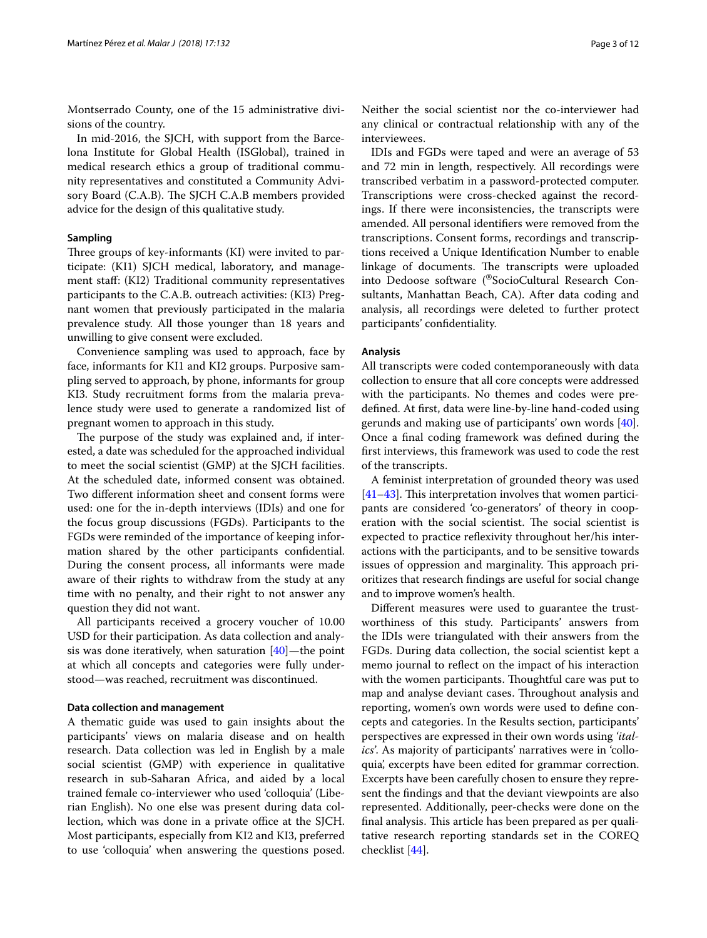Montserrado County, one of the 15 administrative divisions of the country.

In mid-2016, the SJCH, with support from the Barcelona Institute for Global Health (ISGlobal), trained in medical research ethics a group of traditional community representatives and constituted a Community Advisory Board (C.A.B). The SJCH C.A.B members provided advice for the design of this qualitative study.

# **Sampling**

Three groups of key-informants (KI) were invited to participate: (KI1) SJCH medical, laboratory, and management staf: (KI2) Traditional community representatives participants to the C.A.B. outreach activities: (KI3) Pregnant women that previously participated in the malaria prevalence study. All those younger than 18 years and unwilling to give consent were excluded.

Convenience sampling was used to approach, face by face, informants for KI1 and KI2 groups. Purposive sampling served to approach, by phone, informants for group KI3. Study recruitment forms from the malaria prevalence study were used to generate a randomized list of pregnant women to approach in this study.

The purpose of the study was explained and, if interested, a date was scheduled for the approached individual to meet the social scientist (GMP) at the SJCH facilities. At the scheduled date, informed consent was obtained. Two diferent information sheet and consent forms were used: one for the in-depth interviews (IDIs) and one for the focus group discussions (FGDs). Participants to the FGDs were reminded of the importance of keeping information shared by the other participants confdential. During the consent process, all informants were made aware of their rights to withdraw from the study at any time with no penalty, and their right to not answer any question they did not want.

All participants received a grocery voucher of 10.00 USD for their participation. As data collection and analysis was done iteratively, when saturation  $[40]$  $[40]$ —the point at which all concepts and categories were fully understood—was reached, recruitment was discontinued.

#### **Data collection and management**

A thematic guide was used to gain insights about the participants' views on malaria disease and on health research. Data collection was led in English by a male social scientist (GMP) with experience in qualitative research in sub-Saharan Africa, and aided by a local trained female co-interviewer who used 'colloquia' (Liberian English). No one else was present during data collection, which was done in a private office at the SJCH. Most participants, especially from KI2 and KI3, preferred to use 'colloquia' when answering the questions posed. Neither the social scientist nor the co-interviewer had any clinical or contractual relationship with any of the interviewees.

IDIs and FGDs were taped and were an average of 53 and 72 min in length, respectively. All recordings were transcribed verbatim in a password-protected computer. Transcriptions were cross-checked against the recordings. If there were inconsistencies, the transcripts were amended. All personal identifers were removed from the transcriptions. Consent forms, recordings and transcriptions received a Unique Identifcation Number to enable linkage of documents. The transcripts were uploaded into Dedoose software (®SocioCultural Research Consultants, Manhattan Beach, CA). After data coding and analysis, all recordings were deleted to further protect participants' confdentiality.

#### **Analysis**

All transcripts were coded contemporaneously with data collection to ensure that all core concepts were addressed with the participants. No themes and codes were predefned. At frst, data were line-by-line hand-coded using gerunds and making use of participants' own words [\[40](#page-11-27)]. Once a fnal coding framework was defned during the frst interviews, this framework was used to code the rest of the transcripts.

A feminist interpretation of grounded theory was used  $[41-43]$  $[41-43]$ . This interpretation involves that women participants are considered 'co-generators' of theory in cooperation with the social scientist. The social scientist is expected to practice refexivity throughout her/his interactions with the participants, and to be sensitive towards issues of oppression and marginality. This approach prioritizes that research fndings are useful for social change and to improve women's health.

Diferent measures were used to guarantee the trustworthiness of this study. Participants' answers from the IDIs were triangulated with their answers from the FGDs. During data collection, the social scientist kept a memo journal to refect on the impact of his interaction with the women participants. Thoughtful care was put to map and analyse deviant cases. Throughout analysis and reporting, women's own words were used to defne concepts and categories. In the Results section, participants' perspectives are expressed in their own words using *'italics'*. As majority of participants' narratives were in 'colloquia', excerpts have been edited for grammar correction. Excerpts have been carefully chosen to ensure they represent the fndings and that the deviant viewpoints are also represented. Additionally, peer-checks were done on the final analysis. This article has been prepared as per qualitative research reporting standards set in the COREQ checklist [\[44](#page-11-30)].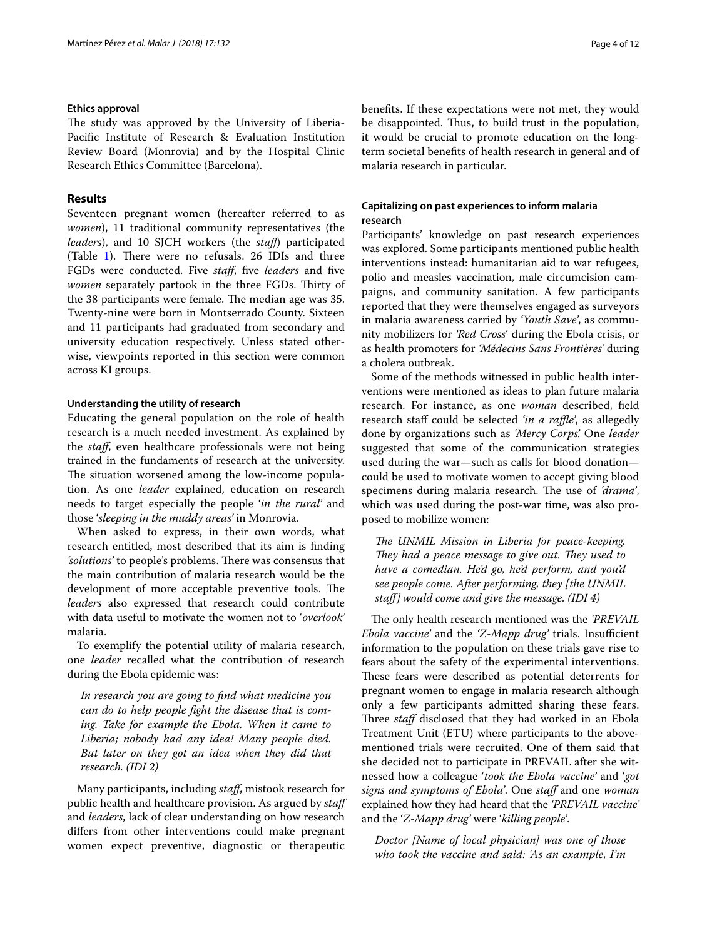#### **Ethics approval**

The study was approved by the University of Liberia-Pacifc Institute of Research & Evaluation Institution Review Board (Monrovia) and by the Hospital Clinic Research Ethics Committee (Barcelona).

# **Results**

Seventeen pregnant women (hereafter referred to as *women*), 11 traditional community representatives (the *leaders*), and 10 SJCH workers (the *staff*) participated (Table [1](#page-4-0)). There were no refusals. 26 IDIs and three FGDs were conducted. Five *staf*, fve *leaders* and fve *women* separately partook in the three FGDs. Thirty of the 38 participants were female. The median age was 35. Twenty-nine were born in Montserrado County. Sixteen and 11 participants had graduated from secondary and university education respectively. Unless stated otherwise, viewpoints reported in this section were common across KI groups.

## **Understanding the utility of research**

Educating the general population on the role of health research is a much needed investment. As explained by the *staf*, even healthcare professionals were not being trained in the fundaments of research at the university. The situation worsened among the low-income population. As one *leader* explained, education on research needs to target especially the people '*in the rural'* and those '*sleeping in the muddy areas'* in Monrovia.

When asked to express, in their own words, what research entitled, most described that its aim is fnding 'solutions' to people's problems. There was consensus that the main contribution of malaria research would be the development of more acceptable preventive tools. The *leaders* also expressed that research could contribute with data useful to motivate the women not to '*overlook'* malaria.

To exemplify the potential utility of malaria research, one *leader* recalled what the contribution of research during the Ebola epidemic was:

*In research you are going to fnd what medicine you can do to help people fght the disease that is coming. Take for example the Ebola. When it came to Liberia; nobody had any idea! Many people died. But later on they got an idea when they did that research. (IDI 2)*

Many participants, including *staf*, mistook research for public health and healthcare provision. As argued by *staf* and *leaders*, lack of clear understanding on how research difers from other interventions could make pregnant women expect preventive, diagnostic or therapeutic benefts. If these expectations were not met, they would be disappointed. Thus, to build trust in the population, it would be crucial to promote education on the longterm societal benefts of health research in general and of malaria research in particular.

# **Capitalizing on past experiences to inform malaria research**

Participants' knowledge on past research experiences was explored. Some participants mentioned public health interventions instead: humanitarian aid to war refugees, polio and measles vaccination, male circumcision campaigns, and community sanitation. A few participants reported that they were themselves engaged as surveyors in malaria awareness carried by *'Youth Save'*, as community mobilizers for *'Red Cross*' during the Ebola crisis, or as health promoters for *'Médecins Sans Frontières'* during a cholera outbreak.

Some of the methods witnessed in public health interventions were mentioned as ideas to plan future malaria research. For instance, as one *woman* described, feld research staff could be selected 'in a raffle', as allegedly done by organizations such as *'Mercy Corps'.* One *leader* suggested that some of the communication strategies used during the war—such as calls for blood donation could be used to motivate women to accept giving blood specimens during malaria research. The use of 'drama', which was used during the post-war time, was also proposed to mobilize women:

The UNMIL Mission in Liberia for peace-keeping. *They had a peace message to give out. They used to have a comedian. He'd go, he'd perform, and you'd see people come. After performing, they [the UNMIL staf] would come and give the message. (IDI 4)*

The only health research mentioned was the *'PREVAIL Ebola vaccine'* and the 'Z-Mapp drug' trials. Insufficient information to the population on these trials gave rise to fears about the safety of the experimental interventions. These fears were described as potential deterrents for pregnant women to engage in malaria research although only a few participants admitted sharing these fears. Three *staff* disclosed that they had worked in an Ebola Treatment Unit (ETU) where participants to the abovementioned trials were recruited. One of them said that she decided not to participate in PREVAIL after she witnessed how a colleague '*took the Ebola vaccine'* and '*got signs and symptoms of Ebola'*. One *staf* and one *woman* explained how they had heard that the *'PREVAIL vaccine'* and the '*Z*-*Mapp drug'* were '*killing people'*.

*Doctor [Name of local physician] was one of those who took the vaccine and said: 'As an example, I'm*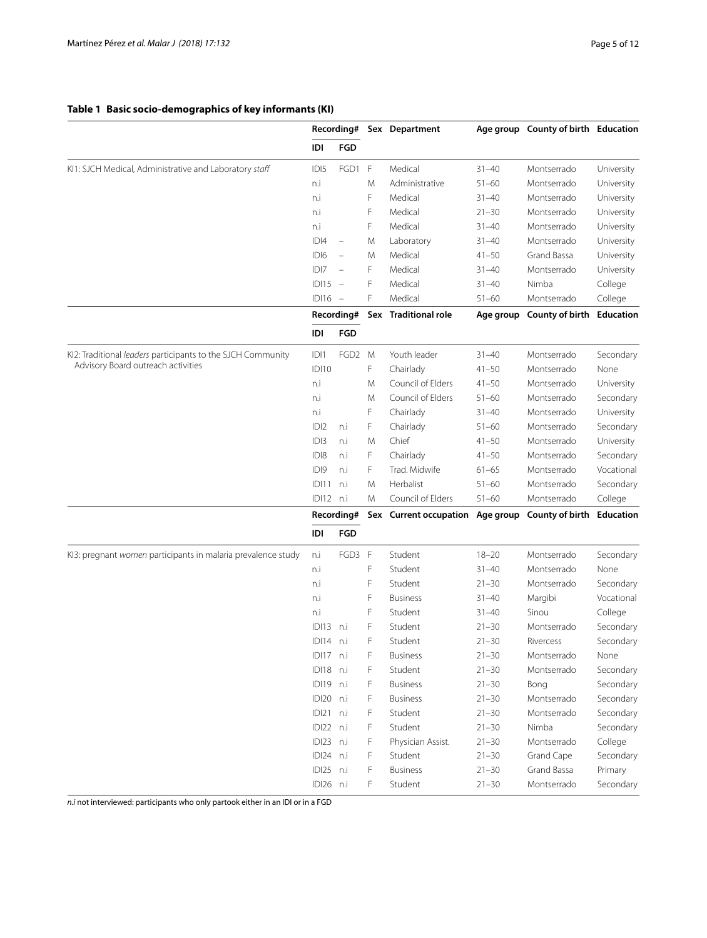# <span id="page-4-0"></span>**Table 1 Basic socio-demographics of key informants (KI)**

|                                                                                                   | Recording#       |                          |   | Sex Department                   |           | Age group County of birth Education |            |
|---------------------------------------------------------------------------------------------------|------------------|--------------------------|---|----------------------------------|-----------|-------------------------------------|------------|
|                                                                                                   | IDI              | <b>FGD</b>               |   |                                  |           |                                     |            |
| KI1: SJCH Medical, Administrative and Laboratory staff                                            | ID <sub>15</sub> | FGD1                     | F | Medical                          | $31 - 40$ | Montserrado                         | University |
|                                                                                                   | n.i              |                          | M | Administrative                   | $51 - 60$ | Montserrado                         | University |
|                                                                                                   | n.i              |                          | F | Medical                          | $31 - 40$ | Montserrado                         | University |
|                                                                                                   | n.i              |                          | F | Medical                          | $21 - 30$ | Montserrado                         | University |
|                                                                                                   | n.i              |                          | F | Medical                          | $31 - 40$ | Montserrado                         | University |
|                                                                                                   | IDI4             | $\equiv$                 | M | Laboratory                       | $31 - 40$ | Montserrado                         | University |
|                                                                                                   | IDI <sub>6</sub> | $\overline{\phantom{a}}$ | M | Medical                          | $41 - 50$ | Grand Bassa                         | University |
|                                                                                                   | IDI7             |                          | F | Medical                          | $31 - 40$ | Montserrado                         | University |
|                                                                                                   | ID115            | $\overline{\phantom{a}}$ | F | Medical                          | $31 - 40$ | Nimba                               | College    |
|                                                                                                   | $IDI16 -$        |                          | F | Medical                          | $51 - 60$ | Montserrado                         | College    |
|                                                                                                   | Recording#       |                          |   | Sex Traditional role             | Age group | County of birth Education           |            |
|                                                                                                   | IDI              | <b>FGD</b>               |   |                                  |           |                                     |            |
| KI2: Traditional leaders participants to the SJCH Community<br>Advisory Board outreach activities | IDI1             | FGD <sub>2</sub>         | M | Youth leader                     | $31 - 40$ | Montserrado                         | Secondary  |
|                                                                                                   | <b>IDI10</b>     |                          | F | Chairlady                        | $41 - 50$ | Montserrado                         | None       |
|                                                                                                   | n.i              |                          | M | Council of Elders                | $41 - 50$ | Montserrado                         | University |
|                                                                                                   | n.i              |                          | M | Council of Elders                | $51 - 60$ | Montserrado                         | Secondary  |
|                                                                                                   | n.i              |                          | F | Chairlady                        | $31 - 40$ | Montserrado                         | University |
|                                                                                                   | IDI <sub>2</sub> | n.i                      | F | Chairlady                        | $51 - 60$ | Montserrado                         | Secondary  |
|                                                                                                   | IDI3             | n.i                      | M | Chief                            | $41 - 50$ | Montserrado                         | University |
|                                                                                                   | IDI <sub>8</sub> | n.i                      | F | Chairlady                        | $41 - 50$ | Montserrado                         | Secondary  |
|                                                                                                   | IDI9             | n.i                      | F | Trad. Midwife                    | $61 - 65$ | Montserrado                         | Vocational |
|                                                                                                   | <b>IDI11</b>     | n.i                      | M | Herbalist                        | $51 - 60$ | Montserrado                         | Secondary  |
|                                                                                                   | IDI12 n.i        |                          | M | Council of Elders                | $51 - 60$ | Montserrado                         | College    |
|                                                                                                   |                  | Recording#               |   | Sex Current occupation Age group |           | County of birth Education           |            |
|                                                                                                   | IDI              | <b>FGD</b>               |   |                                  |           |                                     |            |
| KI3: pregnant women participants in malaria prevalence study                                      | n.i              | FGD3 F                   |   | Student                          | $18 - 20$ | Montserrado                         | Secondary  |
|                                                                                                   | n.i              |                          | F | Student                          | $31 - 40$ | Montserrado                         | None       |
|                                                                                                   | n.i              |                          | F | Student                          | $21 - 30$ | Montserrado                         | Secondary  |
|                                                                                                   | n.i              |                          | F | <b>Business</b>                  | $31 - 40$ | Margibi                             | Vocational |
|                                                                                                   | n.i              |                          | F | Student                          | $31 - 40$ | Sinou                               | College    |
|                                                                                                   | ID113            | n.i                      | F | Student                          | $21 - 30$ | Montserrado                         | Secondary  |
|                                                                                                   | IDI14 n.i        |                          | F | Student                          | $21 - 30$ | Rivercess                           | Secondary  |
|                                                                                                   | IDI17 n.i        |                          | F | <b>Business</b>                  | $21 - 30$ | Montserrado                         | None       |
|                                                                                                   | IDI18 n.i        |                          | F | Student                          | $21 - 30$ | Montserrado                         | Secondary  |
|                                                                                                   | IDI19 n.i        |                          | F | <b>Business</b>                  | $21 - 30$ | Bong                                | Secondary  |
|                                                                                                   | IDI20 n.i        |                          | F | <b>Business</b>                  | $21 - 30$ | Montserrado                         | Secondary  |
|                                                                                                   | IDI21 n.i        |                          | F | Student                          | $21 - 30$ | Montserrado                         | Secondary  |
|                                                                                                   | IDI22 n.i        |                          | F | Student                          | $21 - 30$ | Nimba                               | Secondary  |
|                                                                                                   | IDI23 n.i        |                          | F | Physician Assist.                | $21 - 30$ | Montserrado                         | College    |
|                                                                                                   | IDI24 n.i        |                          | F | Student                          | $21 - 30$ | Grand Cape                          | Secondary  |
|                                                                                                   | IDI25 n.i        |                          | F | <b>Business</b>                  | $21 - 30$ | Grand Bassa                         | Primary    |
|                                                                                                   | IDI26 n.i        |                          | F | Student                          | $21 - 30$ | Montserrado                         | Secondary  |

*n.i* not interviewed: participants who only partook either in an IDI or in a FGD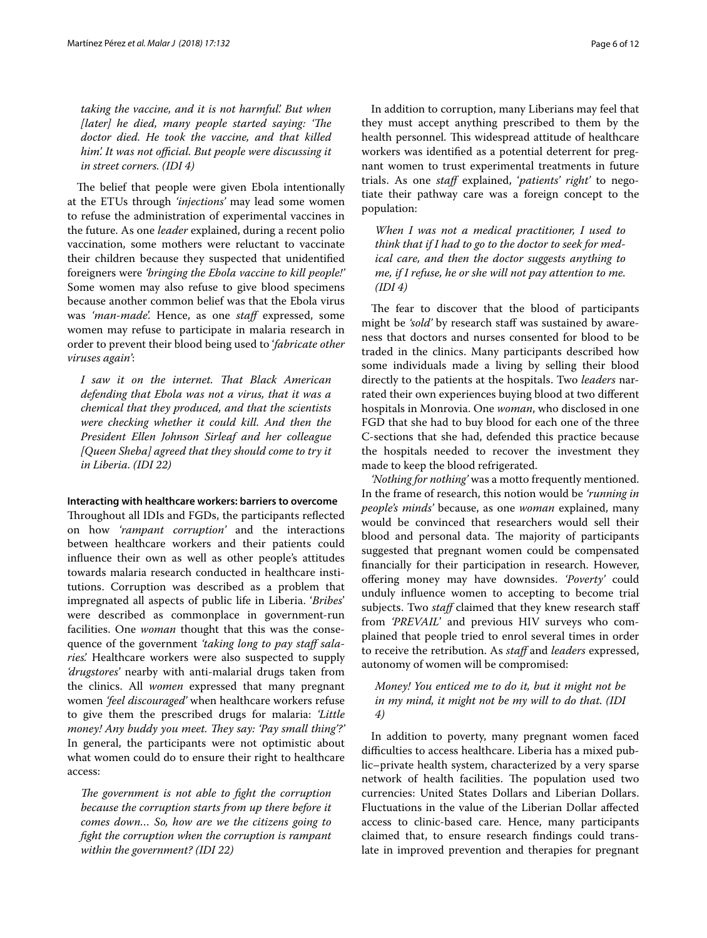*taking the vaccine, and it is not harmful'. But when*  [later] he died, many people started saying: 'The *doctor died. He took the vaccine, and that killed him'. It was not official. But people were discussing it in street corners. (IDI 4)*

The belief that people were given Ebola intentionally at the ETUs through *'injections'* may lead some women to refuse the administration of experimental vaccines in the future. As one *leader* explained, during a recent polio vaccination, some mothers were reluctant to vaccinate their children because they suspected that unidentifed foreigners were *'bringing the Ebola vaccine to kill people!'* Some women may also refuse to give blood specimens because another common belief was that the Ebola virus was *'man*-*made*'. Hence, as one *staf* expressed, some women may refuse to participate in malaria research in order to prevent their blood being used to '*fabricate other viruses again'*:

*I saw it on the internet. Tat Black American defending that Ebola was not a virus, that it was a chemical that they produced, and that the scientists were checking whether it could kill. And then the President Ellen Johnson Sirleaf and her colleague [Queen Sheba] agreed that they should come to try it in Liberia. (IDI 22)*

#### **Interacting with healthcare workers: barriers to overcome**

Throughout all IDIs and FGDs, the participants reflected on how *'rampant corruption'* and the interactions between healthcare workers and their patients could infuence their own as well as other people's attitudes towards malaria research conducted in healthcare institutions. Corruption was described as a problem that impregnated all aspects of public life in Liberia. '*Bribes*' were described as commonplace in government-run facilities. One *woman* thought that this was the consequence of the government *'taking long to pay staff salaries'.* Healthcare workers were also suspected to supply *'drugstores'* nearby with anti-malarial drugs taken from the clinics. All *women* expressed that many pregnant women *'feel discouraged'* when healthcare workers refuse to give them the prescribed drugs for malaria: *'Little*  money! Any buddy you meet. They say: 'Pay small thing'?' In general, the participants were not optimistic about what women could do to ensure their right to healthcare access:

The government is not able to fight the corruption *because the corruption starts from up there before it comes down… So, how are we the citizens going to fght the corruption when the corruption is rampant within the government? (IDI 22)*

In addition to corruption, many Liberians may feel that they must accept anything prescribed to them by the health personnel. This widespread attitude of healthcare workers was identifed as a potential deterrent for pregnant women to trust experimental treatments in future trials. As one *staf* explained, '*patients' right'* to negotiate their pathway care was a foreign concept to the population:

*When I was not a medical practitioner, I used to think that if I had to go to the doctor to seek for medical care, and then the doctor suggests anything to me, if I refuse, he or she will not pay attention to me. (IDI 4)*

The fear to discover that the blood of participants might be *'sold'* by research staf was sustained by awareness that doctors and nurses consented for blood to be traded in the clinics. Many participants described how some individuals made a living by selling their blood directly to the patients at the hospitals. Two *leaders* narrated their own experiences buying blood at two diferent hospitals in Monrovia. One *woman*, who disclosed in one FGD that she had to buy blood for each one of the three C-sections that she had, defended this practice because the hospitals needed to recover the investment they made to keep the blood refrigerated.

*'Nothing for nothing'* was a motto frequently mentioned. In the frame of research, this notion would be *'running in people's minds'* because, as one *woman* explained, many would be convinced that researchers would sell their blood and personal data. The majority of participants suggested that pregnant women could be compensated fnancially for their participation in research. However, ofering money may have downsides. *'Poverty'* could unduly infuence women to accepting to become trial subjects. Two *staff* claimed that they knew research staff from *'PREVAIL*' and previous HIV surveys who complained that people tried to enrol several times in order to receive the retribution. As *staf* and *leaders* expressed, autonomy of women will be compromised:

# *Money! You enticed me to do it, but it might not be in my mind, it might not be my will to do that. (IDI 4)*

In addition to poverty, many pregnant women faced difficulties to access healthcare. Liberia has a mixed public–private health system, characterized by a very sparse network of health facilities. The population used two currencies: United States Dollars and Liberian Dollars. Fluctuations in the value of the Liberian Dollar afected access to clinic-based care. Hence, many participants claimed that, to ensure research fndings could translate in improved prevention and therapies for pregnant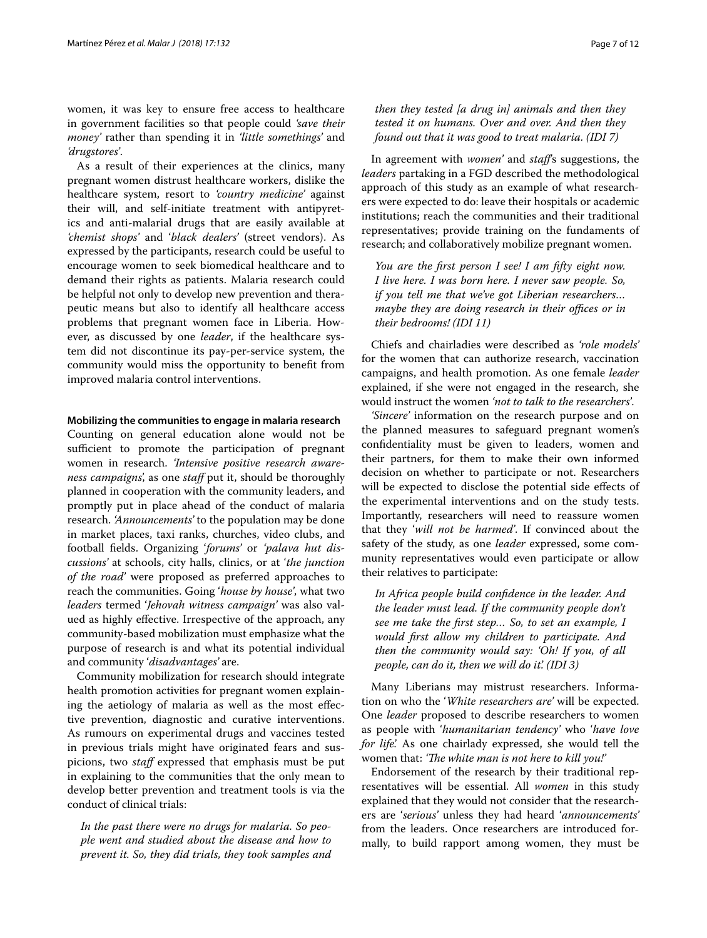women, it was key to ensure free access to healthcare in government facilities so that people could *'save their money'* rather than spending it in *'little somethings'* and *'drugstores'*.

As a result of their experiences at the clinics, many pregnant women distrust healthcare workers, dislike the healthcare system, resort to *'country medicine'* against their will, and self-initiate treatment with antipyretics and anti-malarial drugs that are easily available at *'chemist shops'* and '*black dealers'* (street vendors). As expressed by the participants, research could be useful to encourage women to seek biomedical healthcare and to demand their rights as patients. Malaria research could be helpful not only to develop new prevention and therapeutic means but also to identify all healthcare access problems that pregnant women face in Liberia. However, as discussed by one *leader*, if the healthcare system did not discontinue its pay-per-service system, the community would miss the opportunity to beneft from improved malaria control interventions.

#### **Mobilizing the communities to engage in malaria research**

Counting on general education alone would not be sufficient to promote the participation of pregnant women in research. *'Intensive positive research awareness campaigns*', as one *staf* put it, should be thoroughly planned in cooperation with the community leaders, and promptly put in place ahead of the conduct of malaria research. *'Announcements'* to the population may be done in market places, taxi ranks, churches, video clubs, and football felds. Organizing '*forums'* or *'palava hut discussions'* at schools, city halls, clinics, or at '*the junction of the road'* were proposed as preferred approaches to reach the communities. Going '*house by house'*, what two *leaders* termed '*Jehovah witness campaign'* was also valued as highly efective. Irrespective of the approach, any community-based mobilization must emphasize what the purpose of research is and what its potential individual and community '*disadvantages'* are.

Community mobilization for research should integrate health promotion activities for pregnant women explaining the aetiology of malaria as well as the most efective prevention, diagnostic and curative interventions. As rumours on experimental drugs and vaccines tested in previous trials might have originated fears and suspicions, two *staf* expressed that emphasis must be put in explaining to the communities that the only mean to develop better prevention and treatment tools is via the conduct of clinical trials:

*In the past there were no drugs for malaria. So people went and studied about the disease and how to prevent it. So, they did trials, they took samples and* 

*then they tested [a drug in] animals and then they tested it on humans. Over and over. And then they found out that it was good to treat malaria. (IDI 7)*

In agreement with *women'* and *staf*'s suggestions, the *leaders* partaking in a FGD described the methodological approach of this study as an example of what researchers were expected to do: leave their hospitals or academic institutions; reach the communities and their traditional representatives; provide training on the fundaments of research; and collaboratively mobilize pregnant women.

*You are the frst person I see! I am ffty eight now. I live here. I was born here. I never saw people. So, if you tell me that we've got Liberian researchers… maybe they are doing research in their offices or in their bedrooms! (IDI 11)*

Chiefs and chairladies were described as *'role models'* for the women that can authorize research, vaccination campaigns, and health promotion. As one female *leader* explained, if she were not engaged in the research, she would instruct the women *'not to talk to the researchers'*.

*'Sincere'* information on the research purpose and on the planned measures to safeguard pregnant women's confdentiality must be given to leaders, women and their partners, for them to make their own informed decision on whether to participate or not. Researchers will be expected to disclose the potential side efects of the experimental interventions and on the study tests. Importantly, researchers will need to reassure women that they '*will not be harmed'*. If convinced about the safety of the study, as one *leader* expressed, some community representatives would even participate or allow their relatives to participate:

*In Africa people build confdence in the leader. And the leader must lead. If the community people don't see me take the frst step… So, to set an example, I would frst allow my children to participate. And then the community would say: 'Oh! If you, of all people, can do it, then we will do it'. (IDI 3)*

Many Liberians may mistrust researchers. Information on who the '*White researchers are'* will be expected. One *leader* proposed to describe researchers to women as people with '*humanitarian tendency'* who '*have love for life'.* As one chairlady expressed, she would tell the women that: *The white man is not here to kill you!*'

Endorsement of the research by their traditional representatives will be essential. All *women* in this study explained that they would not consider that the researchers are '*serious'* unless they had heard '*announcements'* from the leaders. Once researchers are introduced formally, to build rapport among women, they must be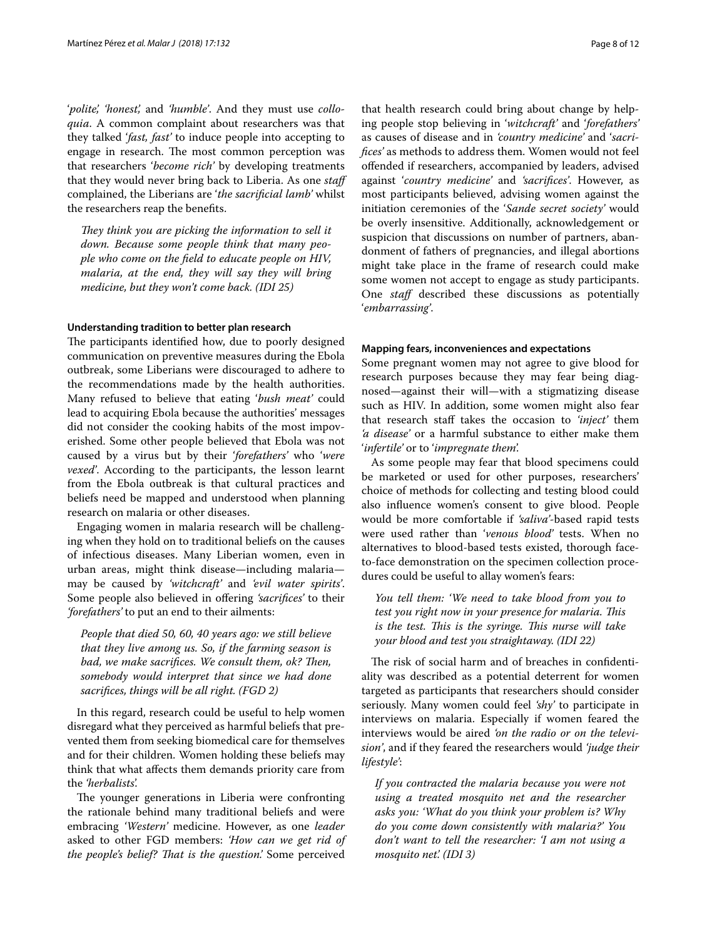'*polite', 'honest',* and *'humble'*. And they must use *colloquia*. A common complaint about researchers was that they talked '*fast, fast'* to induce people into accepting to engage in research. The most common perception was that researchers '*become rich'* by developing treatments that they would never bring back to Liberia. As one *staf* complained, the Liberians are '*the sacrifcial lamb'* whilst the researchers reap the benefts.

They think you are picking the information to sell it *down. Because some people think that many people who come on the feld to educate people on HIV, malaria, at the end, they will say they will bring medicine, but they won't come back. (IDI 25)*

# **Understanding tradition to better plan research**

The participants identified how, due to poorly designed communication on preventive measures during the Ebola outbreak, some Liberians were discouraged to adhere to the recommendations made by the health authorities. Many refused to believe that eating '*bush meat'* could lead to acquiring Ebola because the authorities' messages did not consider the cooking habits of the most impoverished. Some other people believed that Ebola was not caused by a virus but by their '*forefathers'* who '*were vexed'*. According to the participants, the lesson learnt from the Ebola outbreak is that cultural practices and beliefs need be mapped and understood when planning research on malaria or other diseases.

Engaging women in malaria research will be challenging when they hold on to traditional beliefs on the causes of infectious diseases. Many Liberian women, even in urban areas, might think disease—including malaria may be caused by *'witchcraft'* and *'evil water spirits'*. Some people also believed in offering *'sacrifices'* to their *'forefathers'* to put an end to their ailments:

*People that died 50, 60, 40 years ago: we still believe that they live among us. So, if the farming season is bad, we make sacrifices. We consult them, ok? Then, somebody would interpret that since we had done sacrifces, things will be all right. (FGD 2)*

In this regard, research could be useful to help women disregard what they perceived as harmful beliefs that prevented them from seeking biomedical care for themselves and for their children. Women holding these beliefs may think that what afects them demands priority care from the *'herbalists*'.

The younger generations in Liberia were confronting the rationale behind many traditional beliefs and were embracing *'Western'* medicine. However, as one *leader* asked to other FGD members: *'How can we get rid of the people's belief? That is the question.'* Some perceived

that health research could bring about change by helping people stop believing in '*witchcraft'* and '*forefathers'* as causes of disease and in *'country medicine'* and '*sacrifces'* as methods to address them. Women would not feel ofended if researchers, accompanied by leaders, advised against '*country medicine'* and *'sacrifces'*. However, as most participants believed, advising women against the initiation ceremonies of the '*Sande secret society'* would be overly insensitive. Additionally, acknowledgement or suspicion that discussions on number of partners, abandonment of fathers of pregnancies, and illegal abortions might take place in the frame of research could make some women not accept to engage as study participants. One *staf* described these discussions as potentially '*embarrassing'*.

#### **Mapping fears, inconveniences and expectations**

Some pregnant women may not agree to give blood for research purposes because they may fear being diagnosed—against their will—with a stigmatizing disease such as HIV. In addition, some women might also fear that research staff takes the occasion to *'inject'* them *'a disease'* or a harmful substance to either make them '*infertile'* or to '*impregnate them*'.

As some people may fear that blood specimens could be marketed or used for other purposes, researchers' choice of methods for collecting and testing blood could also infuence women's consent to give blood. People would be more comfortable if *'saliva'*-based rapid tests were used rather than '*venous blood'* tests. When no alternatives to blood-based tests existed, thorough faceto-face demonstration on the specimen collection procedures could be useful to allay women's fears:

*You tell them: 'We need to take blood from you to test you right now in your presence for malaria. Tis*  is the test. This is the syringe. This nurse will take *your blood and test you straightaway. (IDI 22)*

The risk of social harm and of breaches in confidentiality was described as a potential deterrent for women targeted as participants that researchers should consider seriously. Many women could feel *'shy'* to participate in interviews on malaria. Especially if women feared the interviews would be aired *'on the radio or on the television'*, and if they feared the researchers would *'judge their lifestyle'*:

*If you contracted the malaria because you were not using a treated mosquito net and the researcher asks you: 'What do you think your problem is? Why do you come down consistently with malaria?' You don't want to tell the researcher: 'I am not using a mosquito net'. (IDI 3)*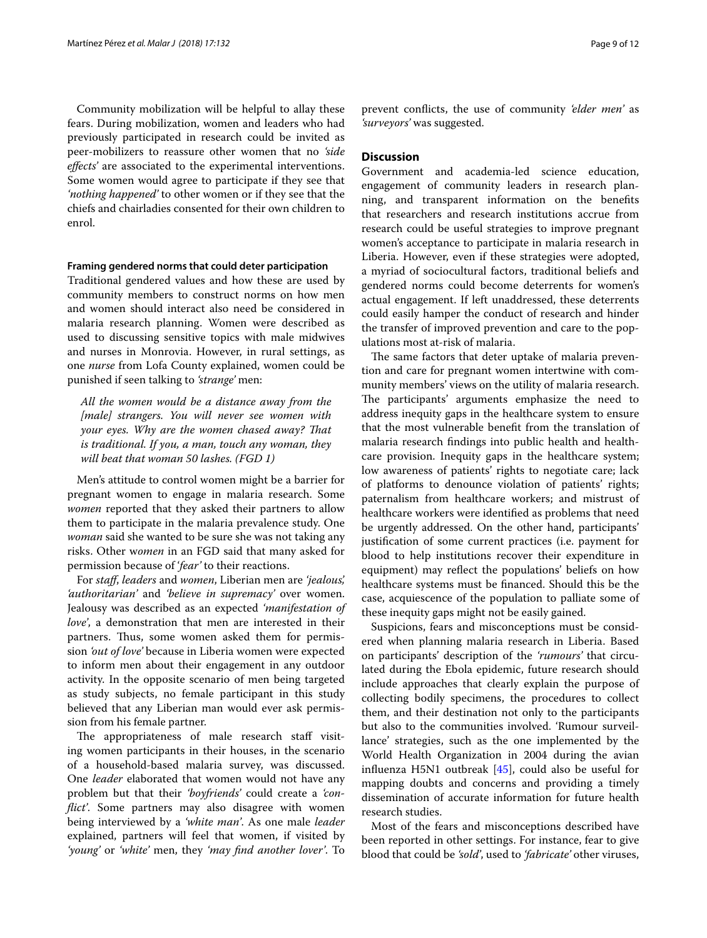Community mobilization will be helpful to allay these fears. During mobilization, women and leaders who had previously participated in research could be invited as peer-mobilizers to reassure other women that no *'side efects'* are associated to the experimental interventions. Some women would agree to participate if they see that *'nothing happened'* to other women or if they see that the chiefs and chairladies consented for their own children to enrol.

#### **Framing gendered norms that could deter participation**

Traditional gendered values and how these are used by community members to construct norms on how men and women should interact also need be considered in malaria research planning. Women were described as used to discussing sensitive topics with male midwives and nurses in Monrovia. However, in rural settings, as one *nurse* from Lofa County explained, women could be punished if seen talking to *'strange'* men:

*All the women would be a distance away from the [male] strangers. You will never see women with your eyes. Why are the women chased away? Tat is traditional. If you, a man, touch any woman, they will beat that woman 50 lashes. (FGD 1)*

Men's attitude to control women might be a barrier for pregnant women to engage in malaria research. Some *women* reported that they asked their partners to allow them to participate in the malaria prevalence study. One *woman* said she wanted to be sure she was not taking any risks. Other w*omen* in an FGD said that many asked for permission because of '*fear'* to their reactions.

For *staf*, *leaders* and *women*, Liberian men are *'jealous', 'authoritarian'* and *'believe in supremacy'* over women. Jealousy was described as an expected *'manifestation of love'*, a demonstration that men are interested in their partners. Thus, some women asked them for permission *'out of love'* because in Liberia women were expected to inform men about their engagement in any outdoor activity. In the opposite scenario of men being targeted as study subjects, no female participant in this study believed that any Liberian man would ever ask permission from his female partner.

The appropriateness of male research staff visiting women participants in their houses, in the scenario of a household-based malaria survey, was discussed. One *leader* elaborated that women would not have any problem but that their *'boyfriends'* could create a *'confict'*. Some partners may also disagree with women being interviewed by a *'white man'*. As one male *leader* explained, partners will feel that women, if visited by *'young'* or *'white'* men, they *'may fnd another lover'*. To prevent conficts, the use of community *'elder men'* as *'surveyors'* was suggested.

# **Discussion**

Government and academia-led science education, engagement of community leaders in research planning, and transparent information on the benefts that researchers and research institutions accrue from research could be useful strategies to improve pregnant women's acceptance to participate in malaria research in Liberia. However, even if these strategies were adopted, a myriad of sociocultural factors, traditional beliefs and gendered norms could become deterrents for women's actual engagement. If left unaddressed, these deterrents could easily hamper the conduct of research and hinder the transfer of improved prevention and care to the populations most at-risk of malaria.

The same factors that deter uptake of malaria prevention and care for pregnant women intertwine with community members' views on the utility of malaria research. The participants' arguments emphasize the need to address inequity gaps in the healthcare system to ensure that the most vulnerable beneft from the translation of malaria research fndings into public health and healthcare provision. Inequity gaps in the healthcare system; low awareness of patients' rights to negotiate care; lack of platforms to denounce violation of patients' rights; paternalism from healthcare workers; and mistrust of healthcare workers were identifed as problems that need be urgently addressed. On the other hand, participants' justifcation of some current practices (i.e. payment for blood to help institutions recover their expenditure in equipment) may refect the populations' beliefs on how healthcare systems must be fnanced. Should this be the case, acquiescence of the population to palliate some of these inequity gaps might not be easily gained.

Suspicions, fears and misconceptions must be considered when planning malaria research in Liberia. Based on participants' description of the *'rumours'* that circulated during the Ebola epidemic, future research should include approaches that clearly explain the purpose of collecting bodily specimens, the procedures to collect them, and their destination not only to the participants but also to the communities involved. 'Rumour surveillance' strategies, such as the one implemented by the World Health Organization in 2004 during the avian infuenza H5N1 outbreak [[45\]](#page-11-31), could also be useful for mapping doubts and concerns and providing a timely dissemination of accurate information for future health research studies.

Most of the fears and misconceptions described have been reported in other settings. For instance, fear to give blood that could be *'sold'*, used to *'fabricate'* other viruses,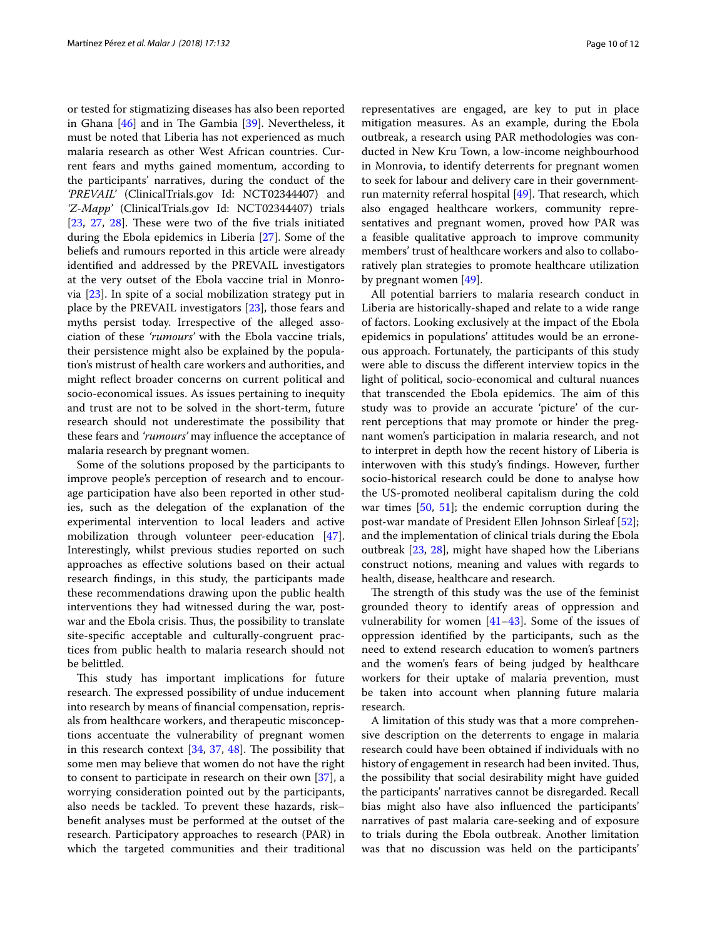or tested for stigmatizing diseases has also been reported in Ghana  $[46]$  and in The Gambia  $[39]$  $[39]$ . Nevertheless, it must be noted that Liberia has not experienced as much malaria research as other West African countries. Current fears and myths gained momentum, according to the participants' narratives, during the conduct of the *'PREVAIL'* (ClinicalTrials.gov Id: NCT02344407) and *'Z*-*Mapp'* (ClinicalTrials.gov Id: NCT02344407) trials  $[23, 27, 28]$  $[23, 27, 28]$  $[23, 27, 28]$  $[23, 27, 28]$  $[23, 27, 28]$  $[23, 27, 28]$  $[23, 27, 28]$ . These were two of the five trials initiated during the Ebola epidemics in Liberia [\[27](#page-11-15)]. Some of the beliefs and rumours reported in this article were already identifed and addressed by the PREVAIL investigators at the very outset of the Ebola vaccine trial in Monrovia [\[23\]](#page-11-11). In spite of a social mobilization strategy put in place by the PREVAIL investigators [[23](#page-11-11)], those fears and myths persist today. Irrespective of the alleged association of these *'rumours'* with the Ebola vaccine trials, their persistence might also be explained by the population's mistrust of health care workers and authorities, and might refect broader concerns on current political and socio-economical issues. As issues pertaining to inequity and trust are not to be solved in the short-term, future research should not underestimate the possibility that these fears and *'rumours'* may infuence the acceptance of malaria research by pregnant women.

Some of the solutions proposed by the participants to improve people's perception of research and to encourage participation have also been reported in other studies, such as the delegation of the explanation of the experimental intervention to local leaders and active mobilization through volunteer peer-education [\[47](#page-11-33)]. Interestingly, whilst previous studies reported on such approaches as efective solutions based on their actual research fndings, in this study, the participants made these recommendations drawing upon the public health interventions they had witnessed during the war, postwar and the Ebola crisis. Thus, the possibility to translate site-specifc acceptable and culturally-congruent practices from public health to malaria research should not be belittled.

This study has important implications for future research. The expressed possibility of undue inducement into research by means of fnancial compensation, reprisals from healthcare workers, and therapeutic misconceptions accentuate the vulnerability of pregnant women in this research context  $[34, 37, 48]$  $[34, 37, 48]$  $[34, 37, 48]$  $[34, 37, 48]$  $[34, 37, 48]$ . The possibility that some men may believe that women do not have the right to consent to participate in research on their own [\[37\]](#page-11-24), a worrying consideration pointed out by the participants, also needs be tackled. To prevent these hazards, risk– beneft analyses must be performed at the outset of the research. Participatory approaches to research (PAR) in which the targeted communities and their traditional representatives are engaged, are key to put in place mitigation measures. As an example, during the Ebola outbreak, a research using PAR methodologies was conducted in New Kru Town, a low-income neighbourhood in Monrovia, to identify deterrents for pregnant women to seek for labour and delivery care in their government-run maternity referral hospital [\[49](#page-11-36)]. That research, which also engaged healthcare workers, community representatives and pregnant women, proved how PAR was a feasible qualitative approach to improve community members' trust of healthcare workers and also to collaboratively plan strategies to promote healthcare utilization by pregnant women [[49](#page-11-36)].

All potential barriers to malaria research conduct in Liberia are historically-shaped and relate to a wide range of factors. Looking exclusively at the impact of the Ebola epidemics in populations' attitudes would be an erroneous approach. Fortunately, the participants of this study were able to discuss the diferent interview topics in the light of political, socio-economical and cultural nuances that transcended the Ebola epidemics. The aim of this study was to provide an accurate 'picture' of the current perceptions that may promote or hinder the pregnant women's participation in malaria research, and not to interpret in depth how the recent history of Liberia is interwoven with this study's fndings. However, further socio-historical research could be done to analyse how the US-promoted neoliberal capitalism during the cold war times [[50,](#page-11-37) [51\]](#page-11-38); the endemic corruption during the post-war mandate of President Ellen Johnson Sirleaf [\[52](#page-11-39)]; and the implementation of clinical trials during the Ebola outbreak [[23](#page-11-11), [28\]](#page-11-16), might have shaped how the Liberians construct notions, meaning and values with regards to health, disease, healthcare and research.

The strength of this study was the use of the feminist grounded theory to identify areas of oppression and vulnerability for women  $[41-43]$  $[41-43]$  $[41-43]$ . Some of the issues of oppression identifed by the participants, such as the need to extend research education to women's partners and the women's fears of being judged by healthcare workers for their uptake of malaria prevention, must be taken into account when planning future malaria research.

A limitation of this study was that a more comprehensive description on the deterrents to engage in malaria research could have been obtained if individuals with no history of engagement in research had been invited. Thus, the possibility that social desirability might have guided the participants' narratives cannot be disregarded. Recall bias might also have also infuenced the participants' narratives of past malaria care-seeking and of exposure to trials during the Ebola outbreak. Another limitation was that no discussion was held on the participants'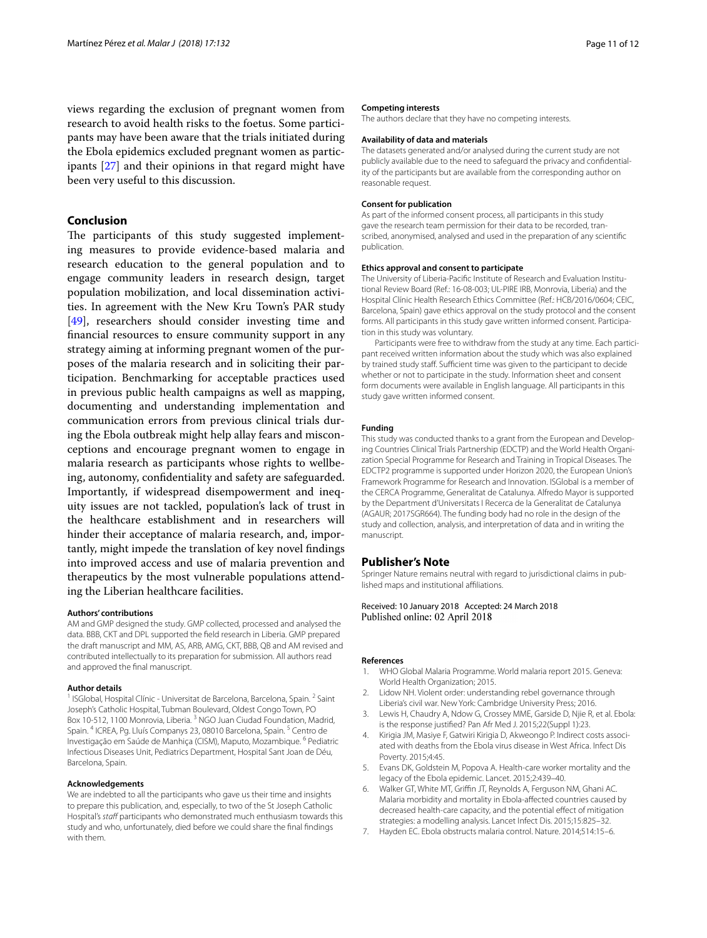views regarding the exclusion of pregnant women from research to avoid health risks to the foetus. Some participants may have been aware that the trials initiated during the Ebola epidemics excluded pregnant women as participants [\[27\]](#page-11-15) and their opinions in that regard might have been very useful to this discussion.

# **Conclusion**

The participants of this study suggested implementing measures to provide evidence-based malaria and research education to the general population and to engage community leaders in research design, target population mobilization, and local dissemination activities. In agreement with the New Kru Town's PAR study [[49\]](#page-11-36), researchers should consider investing time and fnancial resources to ensure community support in any strategy aiming at informing pregnant women of the purposes of the malaria research and in soliciting their participation. Benchmarking for acceptable practices used in previous public health campaigns as well as mapping, documenting and understanding implementation and communication errors from previous clinical trials during the Ebola outbreak might help allay fears and misconceptions and encourage pregnant women to engage in malaria research as participants whose rights to wellbeing, autonomy, confdentiality and safety are safeguarded. Importantly, if widespread disempowerment and inequity issues are not tackled, population's lack of trust in the healthcare establishment and in researchers will hinder their acceptance of malaria research, and, importantly, might impede the translation of key novel fndings into improved access and use of malaria prevention and therapeutics by the most vulnerable populations attending the Liberian healthcare facilities.

#### **Authors' contributions**

AM and GMP designed the study. GMP collected, processed and analysed the data. BBB, CKT and DPL supported the feld research in Liberia. GMP prepared the draft manuscript and MM, AS, ARB, AMG, CKT, BBB, QB and AM revised and contributed intellectually to its preparation for submission. All authors read and approved the fnal manuscript.

#### **Author details**

<sup>1</sup> ISGlobal, Hospital Clínic - Universitat de Barcelona, Barcelona, Spain. <sup>2</sup> Saint Joseph's Catholic Hospital, Tubman Boulevard, Oldest Congo Town, PO Box 10‑512, 1100 Monrovia, Liberia. 3 NGO Juan Ciudad Foundation, Madrid, Spain. <sup>4</sup> ICREA, Pg. Lluís Companys 23, 08010 Barcelona, Spain. <sup>5</sup> Centro de Investigação em Saúde de Manhiça (CISM), Maputo, Mozambique. 6 Pediatric Infectious Diseases Unit, Pediatrics Department, Hospital Sant Joan de Déu, Barcelona, Spain.

#### **Acknowledgements**

We are indebted to all the participants who gave us their time and insights to prepare this publication, and, especially, to two of the St Joseph Catholic Hospital's *staf* participants who demonstrated much enthusiasm towards this study and who, unfortunately, died before we could share the fnal fndings with them.

#### **Competing interests**

The authors declare that they have no competing interests.

#### **Availability of data and materials**

The datasets generated and/or analysed during the current study are not publicly available due to the need to safeguard the privacy and confidentiality of the participants but are available from the corresponding author on reasonable request.

#### **Consent for publication**

As part of the informed consent process, all participants in this study gave the research team permission for their data to be recorded, transcribed, anonymised, analysed and used in the preparation of any scientifc publication.

#### **Ethics approval and consent to participate**

The University of Liberia-Pacific Institute of Research and Evaluation Institutional Review Board (Ref.: 16-08-003; UL-PIRE IRB, Monrovia, Liberia) and the Hospital Clínic Health Research Ethics Committee (Ref.: HCB/2016/0604; CEIC, Barcelona, Spain) gave ethics approval on the study protocol and the consent forms. All participants in this study gave written informed consent. Participation in this study was voluntary.

Participants were free to withdraw from the study at any time. Each participant received written information about the study which was also explained by trained study staff. Sufficient time was given to the participant to decide whether or not to participate in the study. Information sheet and consent form documents were available in English language. All participants in this study gave written informed consent.

#### **Funding**

This study was conducted thanks to a grant from the European and Developing Countries Clinical Trials Partnership (EDCTP) and the World Health Organization Special Programme for Research and Training in Tropical Diseases. The EDCTP2 programme is supported under Horizon 2020, the European Union's Framework Programme for Research and Innovation. ISGlobal is a member of the CERCA Programme, Generalitat de Catalunya. Alfredo Mayor is supported by the Department d'Universitats I Recerca de la Generalitat de Catalunya (AGAUR; 2017SGR664). The funding body had no role in the design of the study and collection, analysis, and interpretation of data and in writing the manuscript.

# **Publisher's Note**

Springer Nature remains neutral with regard to jurisdictional claims in published maps and institutional afliations.

#### Received: 10 January 2018 Accepted: 24 March 2018 Published online: 02 April 2018

#### **References**

- <span id="page-10-0"></span>1. WHO Global Malaria Programme. World malaria report 2015. Geneva: World Health Organization; 2015.
- <span id="page-10-1"></span>2. Lidow NH. Violent order: understanding rebel governance through Liberia's civil war. New York: Cambridge University Press; 2016.
- <span id="page-10-2"></span>3. Lewis H, Chaudry A, Ndow G, Crossey MME, Garside D, Njie R, et al. Ebola: is the response justifed? Pan Afr Med J. 2015;22(Suppl 1):23.
- <span id="page-10-3"></span>4. Kirigia JM, Masiye F, Gatwiri Kirigia D, Akweongo P. Indirect costs associated with deaths from the Ebola virus disease in West Africa. Infect Dis Poverty. 2015;4:45.
- <span id="page-10-4"></span>5. Evans DK, Goldstein M, Popova A. Health-care worker mortality and the legacy of the Ebola epidemic. Lancet. 2015;2:439–40.
- <span id="page-10-5"></span>6. Walker GT, White MT, Griffin JT, Reynolds A, Ferguson NM, Ghani AC. Malaria morbidity and mortality in Ebola-afected countries caused by decreased health-care capacity, and the potential effect of mitigation strategies: a modelling analysis. Lancet Infect Dis. 2015;15:825–32.
- <span id="page-10-6"></span>7. Hayden EC. Ebola obstructs malaria control. Nature. 2014;514:15–6.